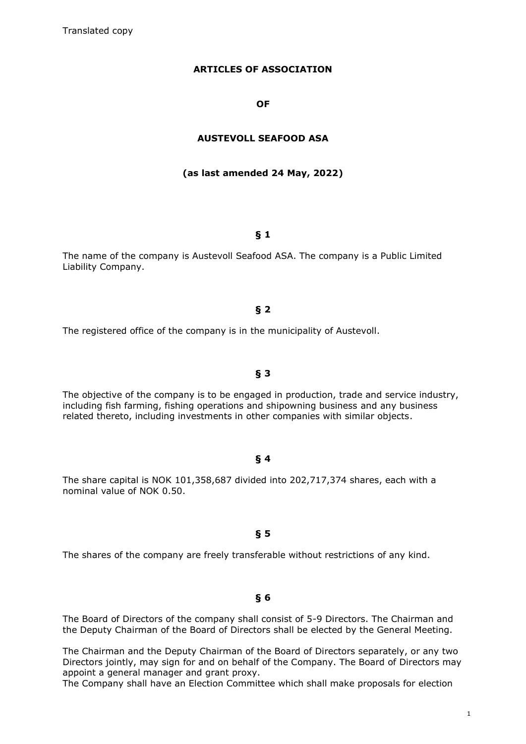### **ARTICLES OF ASSOCIATION**

#### **OF**

### **AUSTEVOLL SEAFOOD ASA**

#### **(as last amended 24 May, 2022)**

#### **§ 1**

The name of the company is Austevoll Seafood ASA. The company is a Public Limited Liability Company.

#### **§ 2**

The registered office of the company is in the municipality of Austevoll.

#### **§ 3**

The objective of the company is to be engaged in production, trade and service industry, including fish farming, fishing operations and shipowning business and any business related thereto, including investments in other companies with similar objects.

#### **§ 4**

The share capital is NOK 101,358,687 divided into 202,717,374 shares, each with a nominal value of NOK 0.50.

#### **§ 5**

The shares of the company are freely transferable without restrictions of any kind.

# **§ 6**

The Board of Directors of the company shall consist of 5-9 Directors. The Chairman and the Deputy Chairman of the Board of Directors shall be elected by the General Meeting.

The Chairman and the Deputy Chairman of the Board of Directors separately, or any two Directors jointly, may sign for and on behalf of the Company. The Board of Directors may appoint a general manager and grant proxy.

The Company shall have an Election Committee which shall make proposals for election